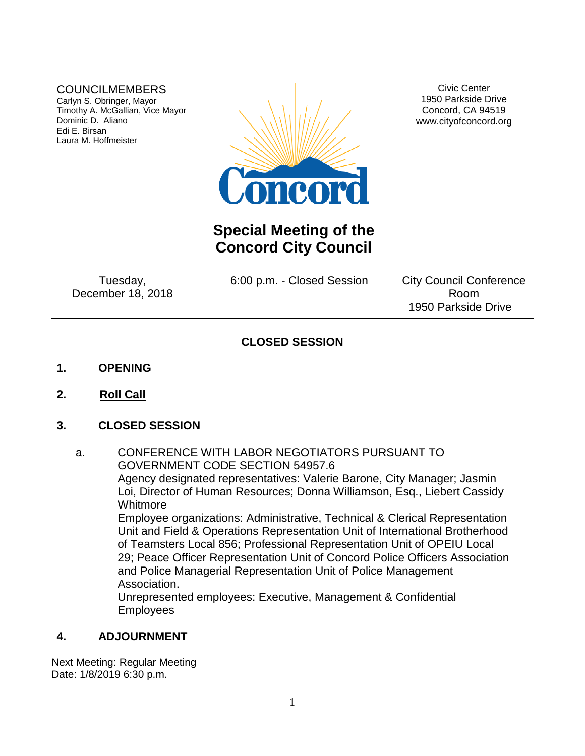#### COUNCILMEMBERS

Carlyn S. Obringer, Mayor Timothy A. McGallian, Vice Mayor Dominic D. Aliano Edi E. Birsan Laura M. Hoffmeister



Civic Center 1950 Parkside Drive Concord, CA 94519 www.cityofconcord.org

# **Special Meeting of the Concord City Council**

Tuesday, December 18, 2018 6:00 p.m. - Closed Session

City Council Conference Room 1950 Parkside Drive

## **CLOSED SESSION**

#### **1. OPENING**

**2. Roll Call**

### **3. CLOSED SESSION**

a. CONFERENCE WITH LABOR NEGOTIATORS PURSUANT TO GOVERNMENT CODE SECTION 54957.6 Agency designated representatives: Valerie Barone, City Manager; Jasmin Loi, Director of Human Resources; Donna Williamson, Esq., Liebert Cassidy **Whitmore** Employee organizations: Administrative, Technical & Clerical Representation Unit and Field & Operations Representation Unit of International Brotherhood of Teamsters Local 856; Professional Representation Unit of OPEIU Local 29; Peace Officer Representation Unit of Concord Police Officers Association and Police Managerial Representation Unit of Police Management Association. Unrepresented employees: Executive, Management & Confidential Employees

#### **4. ADJOURNMENT**

Next Meeting: Regular Meeting Date: 1/8/2019 6:30 p.m.